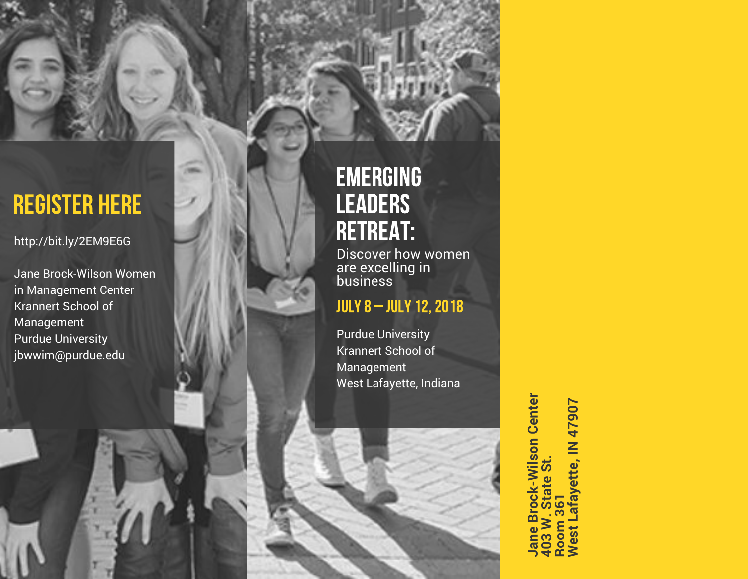http://bit.ly/2EM9E6G

J a n e B r o c k - Wils o n W o m e n in Management Center Krannert School of Management Purdue University **REGISTER HERE**<br>http://bit.ly/2EM9E6G<br>Jane Brock-Wilson Wome<br>in Management Center<br>Krannert School of<br>Management<br>Purdue University<br>jbwwim@purdue.edu

#### E M E R GIN G LEADERS RETREAT:

Discover how women a r e e x c ellin g in business<br>

#### **JULY 8 - JULY 12, 2018**

Purdue University Krannert School of Management West Lafayette, Indiana

> **Brock-Wilson Center Jane Brock-Wilson Center 403 W. State St. Room 361 West Lafayette, IN 47907**